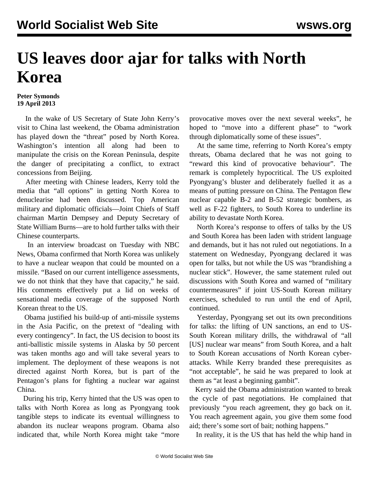## **US leaves door ajar for talks with North Korea**

## **Peter Symonds 19 April 2013**

 In the wake of US Secretary of State John Kerry's visit to China last weekend, the Obama administration has played down the "threat" posed by North Korea. Washington's intention all along had been to manipulate the crisis on the Korean Peninsula, despite the danger of precipitating a conflict, to extract concessions from Beijing.

 After meeting with Chinese leaders, Kerry told the media that "all options" in getting North Korea to denuclearise had been discussed. Top American military and diplomatic officials—Joint Chiefs of Staff chairman Martin Dempsey and Deputy Secretary of State William Burns—are to hold further talks with their Chinese counterparts.

 In an interview broadcast on Tuesday with NBC News, Obama confirmed that North Korea was unlikely to have a nuclear weapon that could be mounted on a missile. "Based on our current intelligence assessments, we do not think that they have that capacity," he said. His comments effectively put a lid on weeks of sensational media coverage of the supposed North Korean threat to the US.

 Obama justified his build-up of anti-missile systems in the Asia Pacific, on the pretext of "dealing with every contingency". In fact, the US decision to boost its anti-ballistic missile systems in Alaska by 50 percent was taken months ago and will take several years to implement. The deployment of these weapons is not directed against North Korea, but is part of the Pentagon's plans for fighting a nuclear war against China.

 During his trip, Kerry hinted that the US was open to talks with North Korea as long as Pyongyang took tangible steps to indicate its eventual willingness to abandon its nuclear weapons program. Obama also indicated that, while North Korea might take "more provocative moves over the next several weeks", he hoped to "move into a different phase" to "work through diplomatically some of these issues".

 At the same time, referring to North Korea's empty threats, Obama declared that he was not going to "reward this kind of provocative behaviour". The remark is completely hypocritical. The US exploited Pyongyang's bluster and deliberately fuelled it as a means of putting pressure on China. The Pentagon flew nuclear capable B-2 and B-52 strategic bombers, as well as F-22 fighters, to South Korea to underline its ability to devastate North Korea.

 North Korea's response to offers of talks by the US and South Korea has been laden with strident language and demands, but it has not ruled out negotiations. In a statement on Wednesday, Pyongyang declared it was open for talks, but not while the US was "brandishing a nuclear stick". However, the same statement ruled out discussions with South Korea and warned of "military countermeasures" if joint US-South Korean military exercises, scheduled to run until the end of April, continued.

 Yesterday, Pyongyang set out its own preconditions for talks: the lifting of UN sanctions, an end to US-South Korean military drills, the withdrawal of "all [US] nuclear war means" from South Korea, and a halt to South Korean accusations of North Korean cyberattacks. While Kerry branded these prerequisites as "not acceptable", he said he was prepared to look at them as "at least a beginning gambit".

 Kerry said the Obama administration wanted to break the cycle of past negotiations. He complained that previously "you reach agreement, they go back on it. You reach agreement again, you give them some food aid; there's some sort of bait; nothing happens."

In reality, it is the US that has held the whip hand in